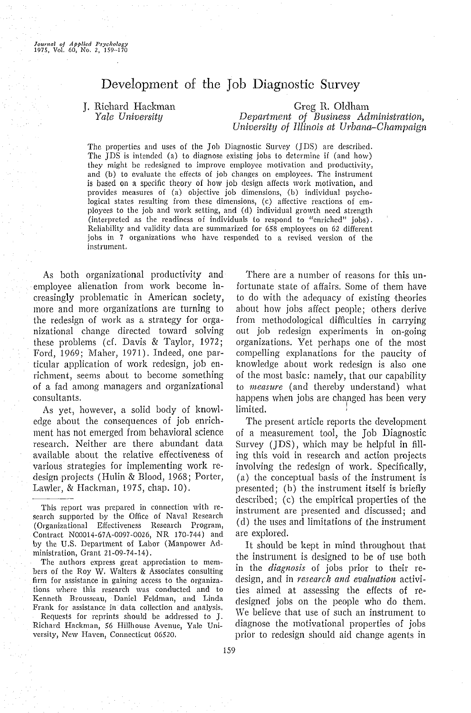# Development of the Job Diagnostic Survey

J. Richard Hackman Yafe *University*

Greg R, Oldham *Department of Business Administration, University of Illinois at Urbana-Champaign*

The properties and uses of the Job Diagnostic Survey (JDS) are described. The JDS is intended (a) to diagnose existing jobs to determine if (and how) they might be redesigned to improve employee motivation and productivity, and (b) to evaluate the effects of job changes on employees. The instrument is based on a specific theory of how job design affects work motivation, and provides measures of (a) objective job dimensions, (b) individual psychological states resulting from these dimensions, (c) affective reactions of employees to the job and work setting, and (d) individual growth need strength (interpreted as the readiness of individuals to respond to "enriched" jobs). Reliability and validity data are summarized for *6S&* employees on 62 different jobs in 7 organizations who have responded to a revised version of the instrument.

As both organizational productivity and employee alienation from work become increasingly problematic in American society, more and more organizations are turning to the redesign of work as a strategy for organizational change directed toward solving these problems (cf. Davis & Taylor, 1972; Ford, 1969; Maher, 1971). Indeed, one particular application of work redesign, job enrichment, seems about to become something of a fad among.managers and organizational consultants.

As yet, however, a solid body of knowledge about the consequences of job enrichment has not emerged from behavioral science research. Neither are there abundant data available about the relative effectiveness of various strategies for implementing work redesign projects (Hulin & Blood, 1968; Porter, Lawler, & Hackman, 197S, chap. 10).

The authors express great appreciation to members of the Roy W. Walters & Associates consulting firm for assistance in gaining access to the organizations where this research was conducted and to Kenneth Brousseau, Daniel Feldman, and Linda Frank for assistance in data collection and analysis.

Requests for reprints should be addressed to J. Richard Hackman, S6 Hillhouse Avenue, Yale University, New Haven, Connecticut 06520.

There are a number of reasons for this unfortunate state of affairs. Some of them have to do with the adequacy of existing theories about how jobs affect people; others derive from methodological difficulties in carrying out job redesign experiments in on-going organizations. Yet perhaps one of the most compelling explanations for the paucity of knowledge about work redesign is also one of the most basic: namely, that our capability to *measure* (and thereby understand) what happens when jobs are changed has been very limited.

The present article reports the development of a measurement tool, the Job Diagnostic Survey (JDS), which may be helpful in filling this void in research and action projects involving the redesign of work. Specifically, (a) the conceptual basis of the instrument is presented; (b) the instrument itself is briefly described; (c) the empirical properties of the instrument are presented and discussed; and (d) the uses and limitations of the instrument are explored.

It should be kept in mind throughout that the instrument is designed to be of use both in the *diagnosis* of jobs prior to their redesign, and in *research and evaluation* activities aimed at assessing the effects of redesigned jobs on the people who do them. We believe that use of such an instrument to diagnose the motivational properties of jobs prior to redesign should aid change agents in

This report was prepared in connection with research supported by the Office of Naval Research (Organizational Effectiveness Research Program, Contract N00014-67A-0097-0026, NR 170-744) and by the U.S. Department of Labor (Manpower Administration, Grant 21-09-74-14).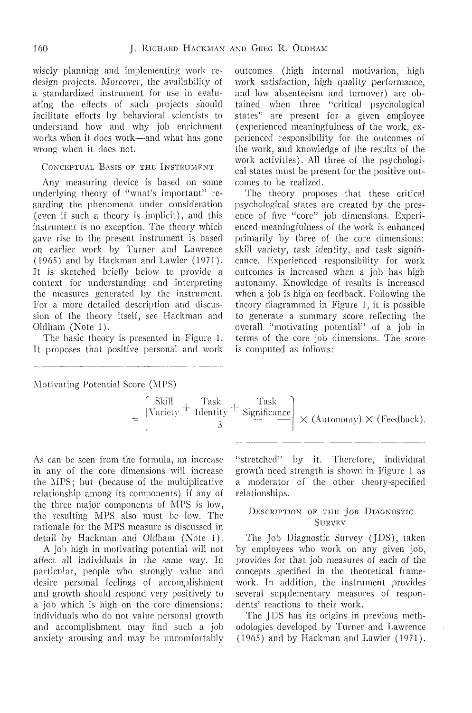wisely planning and implementing work redesign projects. Moreover, the availability of a standardized instrument for use in evaluating the effects of such projects should facilitate efforts by behavioral scientists to understand how and why job enrichment works when it does work—and what has gone wrong when it does not.

## CONCEPTUAL BASIS OF THE INSTRUMENT

Any measuring device is based on some underlying theory of "what's important" regarding the phenomena under consideration (even if such a theory is implicit), and this instrument is no exception. The theory which gave rise to the present instrument is based on earlier work by Turner and Lawrence *(1965)* and by Hackman and Lawler (1971). It is sketched briefly below to provide a context for understanding and interpreting the measures generated by the instrument. For a more detailed description and discussion of the theory itself, see Hackman and Oldham (Note 1).

The basic theory is presented in Figure 1. It proposes that positive personal and work outcomes (high internal motivation, high work satisfaction, high quality performance, and low absenteeism and turnover) are obtained when three "critical psychological states" are present for a given employee (experienced meaningfulness of the work, experienced responsibility for the outcomes of the work, and knowledge of the results of the work activities). All three of the psychological states must be present for the positive outcomes to be realized.

The theory proposes that these critical psychological states are created by the presence of five "core" job dimensions. Experienced meaningfulness of the work is enhanced primarily by three of the core dimensions: skill variety, task identity, and task significance. Experienced responsibility for work outcomes is increased when a job has high autonomy. Knowledge of results is increased when a job is high on feedback. Following the theory diagrammed in Figure 1, it is possible to generate a summary score reflecting the overall "motivating potential" of a job in terms of the core job dimensions. The score is computed as follows:

Motivating Potential Score (MPS)



As can be seen from the formula, an increase in any of the core dimensions will increase the MPS; but (because of the multiplicative relationship among its components) if any of the three major components of MPS is low, the resulting MPS also must be low. The rationale for the MPS measure is discussed in detail by Hackman and Oldham (Note 1).

A job high in motivating potential will not affect all individuals in the same way. In particular, people who strongly value and desire personal feelings of accomplishment and growth should respond very positively to a job which is high on the core dimensions; individuals who do not value personal growth and accomplishment may find such a job anxiety arousing and may be uncomfortably

"stretched" by it. Therefore, individual growth need strength is shown in Figure 1 as a moderator of the other theory-specified relationships.

# DESCRIPTION OF THE JOB DIAGNOSTIC **SURVEY**

The Job Diagnostic Survey (JDS), taken by employees who work on any given job, provides for that job measures of each of the concepts specified in the theoretical framework. In addition, the instrument provides several supplementary measures of respondents' reactions to their work.

The JDS has its origins in previous methodologies developed by Turner and Lawrence (1965) and by Hackman and Lawler (1971).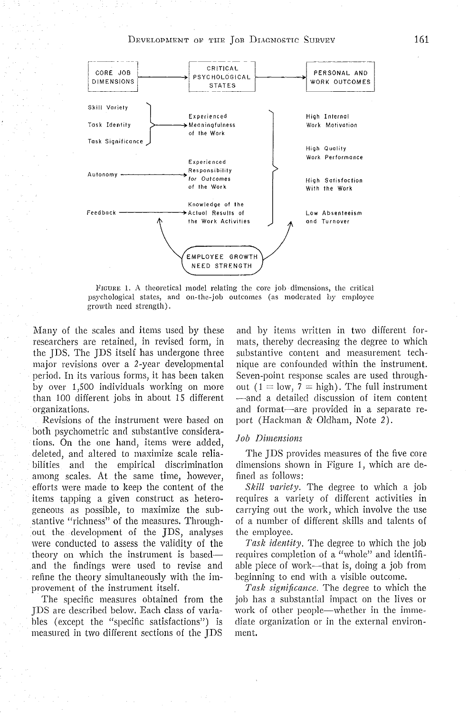DEVELOPMENT OF THE JOB DIAGNOSTIC SURVEY 161



FIGURE 1. A theoretical model relating the core job dimensions, the critical psychological states, and on-the-job outcomes (as moderated by employee growth need strength).

Many of the scales and items used by these researchers are retained, in revised form, in the JDS. The JDS itself has undergone three major revisions over a 2-year developmental period, In its various forms, it has been taken by over *1,500* individuals working on more than 100 different jobs in about IS different organizations.

Revisions of the instrument were based on both psychometric and substantive considerations. On the one hand, items were added, deleted, and altered to maximize scale reliabilities and the empirical discrimination among scales. At the same time, however, efforts were made to keep the content of the items tapping a given construct as heterogeneous as possible, to maximize the substantive "richness" of the measures. Throughout the development of the JDS, analyses were conducted to assess the validity of the theory on which the instrument is based— .and the findings were used to revise and refine the theory simultaneously with the improvement of the instrument itself.

The specific measures obtained from the JDS are described below. Each class of variables (except the "specific satisfactions") is measured in two different sections of the JDS and by items written in two different formats, thereby decreasing the degree to which substantive content and measurement technique are confounded within the instrument. Seven-point response scales are used throughout (1 = low, 7 = high). The full instrument —and a detailed discussion of item content and format—are provided in a separate report (Hackman & Oldham, Note 2).

#### *Job Dimensions*

The JDS provides measures of the five core dimensions shown in Figure 1, which are defined as follows:

*Skill variety.* The degree to which a job requires a variety of different activities in carrying out the work, which involve the use of a number of different skills and talents of the employee.

*Task identity.* The degree to which the job requires completion of a "whole" and identifiable piece of work—that is, doing a job from beginning to end with a visible outcome.

*Task significance.* The degree to which the job has a substantial impact on the lives or work of other people—whether in the immediate organization or in the external environment.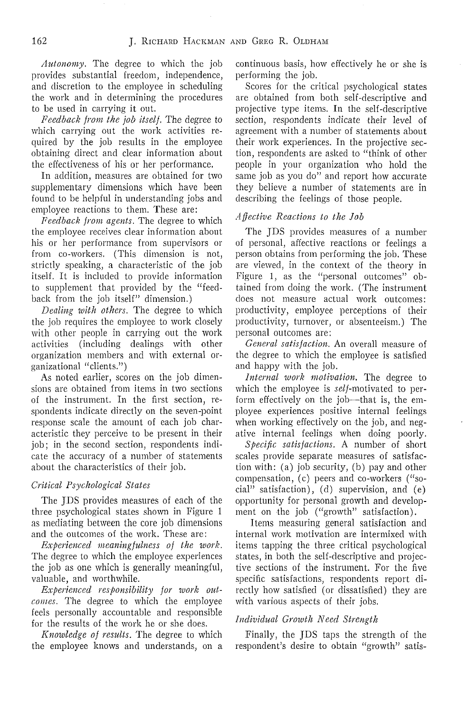*Autonomy,* The degree to which the job provides substantial freedom, independence, and discretion to the employee in scheduling the work and in determining the procedures to be used in carrying it out.

*Feedback from the job itself.* The degree to which carrying out the work activities required by the job results in the employee obtaining direct and clear information about the effectiveness of his or her performance.

In addition, measures are obtained for two supplementary dimensions which have been found to be helpful in understanding jobs and employee reactions to them. These are:

*Feedback from agents.* The degree to which the employee receives clear information about his or her performance from supervisors or from co-workers. (This dimension is not, strictly speaking, a characteristic of the job itself. It is included to provide information to supplement that provided by the "feedback from the job itself" dimension.)

*Dealing with others.* The degree to which the job requires the employee to work closely with other people in carrying out the work activities (including dealings with other organization members and with external organizational "clients.")

As noted earlier, scores on the job dimensions are obtained from items in two sections of the instrument. In the first section, respondents indicate directly on the seven-point response scale the amount of each job characteristic they perceive to be present in their job; in the second section, respondents indicate the accuracy of a number of statements about the characteristics of their job.

## *Critical Psychological States*

The JDS provides measures of each of the three psychological states shown in Figure 1 as mediating between the core job dimensions and the outcomes of the work. These are:

*Experienced meaning fulness of the work.* The degree to which the employee experiences the job as one which is generally meaningful, valuable, and worthwhile.

*Experienced responsibility for work outcomes.* The degree to which the employee feels personally accountable and responsible for the results of the work he or she does.

*Knowledge of results.* The degree to which the employee knows and understands, on a

continuous basis, how effectively he or she is performing the job.

Scores for the critical psychological states are obtained from both self-descriptive and projective type items. In the self-descriptive section, respondents indicate their level of agreement with a number of statements about their work experiences. In the projective section, respondents are asked to "think of other people in your organization who hold the same job as you do" and report how accurate they believe a number of statements are in describing the feelings of those people.

## *Affective Reactions to the Job*

The JDS provides measures of a number of personal, affective reactions or feelings a person obtains from performing the job. These are viewed, in the context of the theory in Figure 1, as the "personal outcomes" obtained from doing the work. (The instrument does not measure actual work outcomes: productivity, employee perceptions of their productivity, turnover, or absenteeism.) The personal outcomes are:

*General satisfaction.* An overall measure of the degree to which the employee is satisfied and happy with the job.

*Internal work motivation.* The degree to which the employee is *self-motivated* to perform effectively on the job—that is, the employee experiences positive internal feelings when working effectively on the job, and negative internal feelings when doing poorly.

*Specific satisfactions.* A number of short scales provide separate measures of satisfaction with: (a) job security, (b) pay and other compensation, (c) peers and co-workers ("social" satisfaction), (d) supervision, and (e) opportunity for personal growth and development on the job ("growth" satisfaction).

Items measuring general satisfaction and internal work motivation are intermixed with items tapping the three critical psychological states, in both the self-descriptive and projective sections of the instrument. For the five specific satisfactions, respondents report directly how satisfied (or dissatisfied) they are with various aspects of their jobs.

## *Individual Growth Need Strength*

Finally, the JDS taps the strength of the respondent's desire to obtain "growth" satis-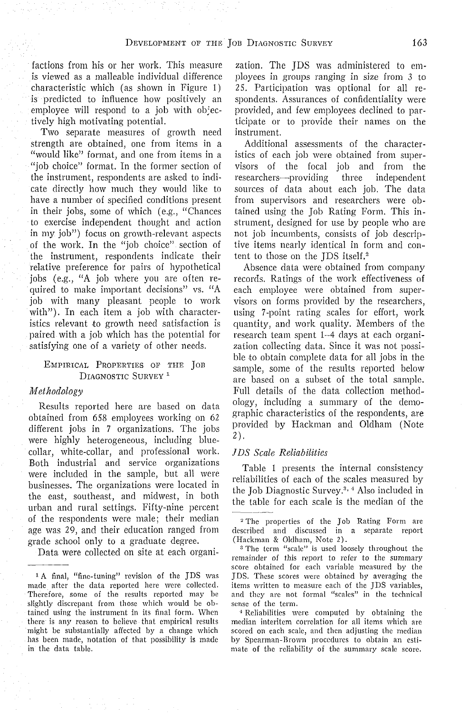factions from his or her work. This measure is viewed as a malleable individual difference characteristic which (as shown in Figure 1) is predicted to influence how positively an employee will respond to a job with objectively high motivating potential.

Two separate measures of growth need strength are obtained, one from items in a "would like" format, and one from items in a "job choice" format. In the former section of the instrument, respondents are asked to indicate directly how much they would like to have a number of specified conditions present in their jobs, some of which (e.g., "Chances to exercise independent thought and action in my job") focus on growth-relevant aspects of the work. In the "job choice" section of the instrument, respondents indicate their relative preference for pairs of hypothetical jobs (e.g., "A job where you are often required to make important decisions" vs. "A job with many pleasant people to work with"). In each item a job with characteristics relevant to growth need satisfaction is paired with a job which has the potential for satisfying one of a variety of other needs.

## EMPIRICAL PROPERTIES OP THE JOB DIAGNOSTIC SURVEY<sup>1</sup>

## *Methodology*

Results reported here are based on data obtained from 658 employees working on 62 different jobs in 7 organizations. The jobs were highly heterogeneous, including bluecollar, white-collar, and professional work. Both industrial and service organizations were included in the sample, but all were businesses. The organizations were located in the east, southeast, and midwest, in both urban and rural settings. Fifty-nine percent of the respondents were male; their median age was 29, and their education ranged from grade school only to a graduate degree.

Data were collected on site at each organi-

zation. The JDS was administered to employees in groups ranging in size from 3 to 25. Participation was optional for all respondents. Assurances of confidentiality were provided, and few employees declined to participate or to provide their names on the instrument.

Additional assessments of the characteristics of each job were obtained from supervisors of the focal job and from the researchers—providing three independent sources of data about each job. The data from supervisors and researchers were obtained using the Job Rating Form. This instrument, designed for use by people who are not job incumbents, consists of job descriptive items nearly identical in form and content to those on the JDS itself.<sup>2</sup>

Absence data were obtained from company records. Ratings of the work effectiveness of each employee were obtained from supervisors on forms provided by the researchers, using 7-point rating scales for effort, work quantity, and work quality. Members of the research team spent 1-4 days at each organization collecting data. Since it was not possible to obtain complete data for all jobs in the sample, some of the results reported below are based on a subset of the total sample. Full details of the data collection methodology, including a summary of the demographic characteristics of the respondents, are provided by Hackman and Oldham (Note  $2$ .

#### *JDS Scale Reliabilities*

Table 1 presents the internal consistency reliabilities of each of the scales measured by the Job Diagnostic Survey.<sup>3, 4</sup> Also included in the table for each scale is the median of the

4 Reliabilities were computed by obtaining the median interitem correlation for all items which are scored on each scale, and then adjusting the median by Spearman-Brown procedures to obtain an estimate of the reliability of the summary scale score.

<sup>1</sup> A final, "fine-tuning" revision of the JDS was made after the data reported here were collected. Therefore, some of the results reported may be slightly discrepant from those which would be obtained using the instrument in its final form. When there is any reason to believe that empirical results might be substantially affected by a change which has been made, notation of that possibility is made in the data table.

*<sup>-</sup>* The properties of the Job Rating Form are described and discussed in a separate report (Hackman & Oldham, Note 2).

<sup>&</sup>lt;sup>3</sup> The term "scale" is used loosely throughout the remainder of this report to refer to the summary score obtained for each variable measured by the JDS. These scores were obtained by averaging the items written to measure each of the JDS variables, and they are not formal "scales" in the technical sense of the term.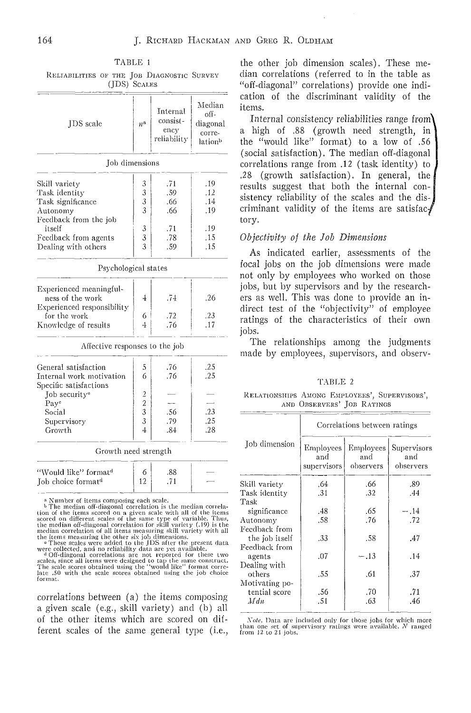| <b>JDS</b> scale                 | $n^{\rm a}$             | Internal<br>consist-<br>ency<br>reliability | Median<br>off-<br>diagonal<br>corre-<br>lationb |  |  |
|----------------------------------|-------------------------|---------------------------------------------|-------------------------------------------------|--|--|
| Job dimensions                   |                         |                                             |                                                 |  |  |
| Skill variety                    | 3                       | .71                                         | . 19                                            |  |  |
| Task identity                    | 3                       | .59                                         | .12                                             |  |  |
| Task significance                | 3                       | .66                                         | .14                                             |  |  |
| Autonomy                         | 3                       | -66                                         | .19                                             |  |  |
| Feedback from the job            |                         |                                             |                                                 |  |  |
|                                  |                         |                                             | .19                                             |  |  |
| itself                           | 3                       | .71<br>.78                                  | .15                                             |  |  |
| Feedback from agents             | $\frac{3}{3}$           |                                             |                                                 |  |  |
| Dealing with others              |                         | .59                                         | .15                                             |  |  |
| Psychological states             |                         |                                             |                                                 |  |  |
|                                  |                         |                                             |                                                 |  |  |
| Experienced meaningful-          | 4                       | .74                                         | .26                                             |  |  |
| ness of the work                 |                         |                                             |                                                 |  |  |
| Experienced responsibility       |                         |                                             |                                                 |  |  |
| for the work                     | 6                       | .72                                         | .23                                             |  |  |
| Knowledge of results             | 4                       | .76                                         | .17                                             |  |  |
| Affective responses to the job   |                         |                                             |                                                 |  |  |
| General satisfaction             | 5                       | .76                                         | .25                                             |  |  |
| Internal work motivation         | 6                       | .76                                         | .25                                             |  |  |
| Specific satisfactions           |                         |                                             |                                                 |  |  |
| Job security <sup>®</sup>        |                         |                                             |                                                 |  |  |
| Pay <sup>e</sup>                 | $\frac{2}{3}$<br>3<br>3 |                                             |                                                 |  |  |
| Social                           |                         | .56                                         | .23                                             |  |  |
| Supervisory                      |                         | .79                                         | .25                                             |  |  |
| Growth                           | 4                       | .84                                         | .28                                             |  |  |
|                                  |                         |                                             |                                                 |  |  |
| Growth need strength             |                         |                                             |                                                 |  |  |
| "Would like" format <sup>d</sup> | 6                       | .88                                         |                                                 |  |  |
| Ioh choice format <sup>d</sup>   | 12                      | .71                                         |                                                 |  |  |
|                                  |                         |                                             |                                                 |  |  |

TABLE 1

RELIABILITIES OF THE JOE DIAGNOSTIC SURVEY (JDS) SCALES

a Number of items composing each scale.

b The median off-diagonal correlation is the median correlation of the items scored on a given scale with all of the items<br>scored on different scales of the same type of variable. Thus,<br>the median off-diagonal correlation for skill variety (,19) is the<br>median correlation of all it

the items measuring the other six job dimensions.<br>  $\degree$  These scales were added to the JDS after the present data<br>
were collected, and no reliability data are yet available.<br>  $\degree$  doff-diagonal correlations are not report scales, since all items were designed to tap tlie same construct. The scale scores obtained using the "would like" format corre-late .50 with the scale scores obtained using the job choice format.

correlations between (a) the items composing a given scale (e.g., skill variety) and (b) all of the other items which are scored on different scales of the same general type (i.e., the other job dimension scales). These median correlations (referred to in the table as "off-diagonal" correlations) provide one indication of the discriminant validity of the items.

Internal consistency reliabilities range from a high of .88 (growth need strength, in the "would like" format) to a low of .56 (social satisfaction). The median off-diagonal correlations range from .12 (task identity) to .28 (growth satisfaction). In general, the results suggest that both the internal consistency reliability of the scales and the discriminant validity of the items are satisfac- $/$ tory.

## *Objectivity of the Job Dimensions*

As indicated earlier, assessments of the focal jobs on the job dimensions were made not only by employees who worked on those jobs, but by supervisors and by the researchers as well. This was done to provide an indirect test of the "objectivity" of employee ratings of the characteristics of their own jobs.

The relationships among the judgments made by employees, supervisors, and observ-

TABLE 2

RELATIONSHIPS AMONG EMPLOYEES', SUPERVISORS', AND OBSERVERS' JOB RATINGS

|                                 | Correlations between ratings    |                               |                                 |  |  |  |  |  |  |  |
|---------------------------------|---------------------------------|-------------------------------|---------------------------------|--|--|--|--|--|--|--|
| Job dimension                   | Employees<br>and<br>supervisors | Employees<br>and<br>observers | Supervisors<br>and<br>observers |  |  |  |  |  |  |  |
| Skill variety                   | .64                             | .66                           | .89                             |  |  |  |  |  |  |  |
| Task identity<br>Task           | .31                             | .32                           | .44                             |  |  |  |  |  |  |  |
| significance                    | .48                             | .65                           | $-.14$                          |  |  |  |  |  |  |  |
| Autonomy<br>Feedback from       | .58                             | .76                           | .72                             |  |  |  |  |  |  |  |
| the job itself<br>Feedback from | .33                             | .58                           | .47                             |  |  |  |  |  |  |  |
| agents<br>Dealing with          | .07                             | $-.13$                        | .14                             |  |  |  |  |  |  |  |
| others<br>Motivating po-        | .55                             | .61                           | .37                             |  |  |  |  |  |  |  |
| tential score                   | .56                             | .70                           | .71                             |  |  |  |  |  |  |  |
| Mdn                             | .51                             | .63                           | .46                             |  |  |  |  |  |  |  |

*Xote.* Oata are included only for those jobs for which more than one set of supervisory ratings were available. N ranged from 12 to 21 jobs.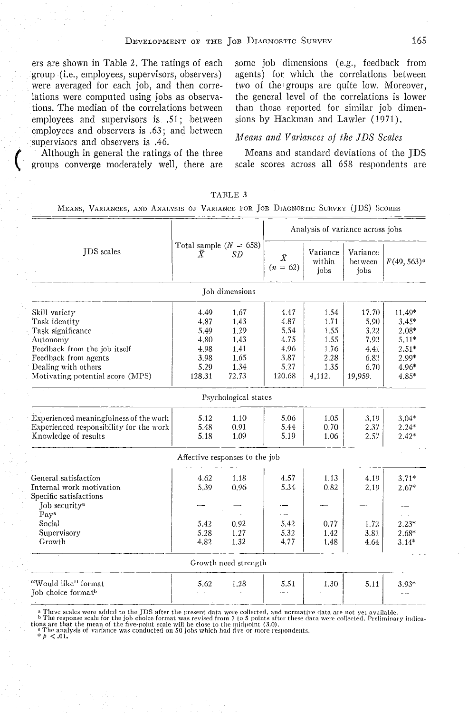ers are shown in Table 2. The ratings of each group (i.e., employees, supervisors; observers) were averaged for each job, and then correlations were computed using jobs as observations. The median of the correlations between employees and supervisors is. .51; between employees and observers is .63; and between supervisors and observers is .46.

Although in general the ratings of the three groups converge moderately well, there are

some job dimensions (e.g., feedback from agents) for. which the correlations between two of the groups are quite low. Moreover, the general level of the correlations is lower than those reported for similar job dimensions by Hackman and Lawler (1971).

## *Means and Variances oj the JDS Scales*

Means and standard deviations of the JDS scale scores across all 658 respondents are

|                                         |                                 |                       | Analysis of variance across jobs |                            |                             |                           |  |  |  |  |
|-----------------------------------------|---------------------------------|-----------------------|----------------------------------|----------------------------|-----------------------------|---------------------------|--|--|--|--|
| <b>IDS</b> scales                       | Total sample ( $N = 658$ )<br>Х | SD.                   | $\bar{X}$<br>$(n = 62)$          | Variance<br>within<br>jobs | Variance<br>between<br>jobs | $F(49, 563)$ <sup>e</sup> |  |  |  |  |
|                                         |                                 | <b>Tob</b> dimensions |                                  |                            |                             |                           |  |  |  |  |
| Skill variety                           | 4.49                            | 1.67                  | 4.47                             | 1.54                       | 17.70                       | 11.49*                    |  |  |  |  |
| Task identity                           | 4.87                            | 1.43                  | 4.87                             | 1.71                       | 5.90                        | $3.45*$                   |  |  |  |  |
| Task significance                       | 5.49                            | 1.29                  | 5.54                             | 1.55                       | 3.22                        | 2.08*                     |  |  |  |  |
| Autonomy                                | 4.80                            | 1.43                  | 4.75                             | 1.55                       | 7.92                        | $5.11*$                   |  |  |  |  |
| Feedback from the job itself            | 4.98                            | 1.41                  | 4.96                             | 1.76                       | 4.41                        | $2.51*$                   |  |  |  |  |
| Feedback from agents                    | 3.98                            | 1.65                  | 3.87                             | 2.28                       | 6.82                        | 2.99*                     |  |  |  |  |
| Dealing with others                     | 5.29                            | 1.34                  | 5.27                             | 1.35                       | 6.70                        | 4.96*                     |  |  |  |  |
| Motivating potential score (MPS)        | 128,31                          | 72.73                 | 120.68                           | 4,112.                     | 19,959.                     | $4.85*$                   |  |  |  |  |
|                                         |                                 | Psychological states  |                                  |                            |                             |                           |  |  |  |  |
| Experienced meaningfulness of the work  | 5.12                            | 1.10                  | 5.06                             | 1.05                       | 3.19                        | $3.04*$                   |  |  |  |  |
| Experienced responsibility for the work | 5.48                            | 0.91                  | 5.44                             | 0.70                       | 2.37                        | $2.24*$                   |  |  |  |  |
| Knowledge of results                    | 5.18                            | 1.09                  | 5.19                             | 1.06                       | 2.57                        | $2.42*$                   |  |  |  |  |
|                                         | Affective responses to the job  |                       |                                  |                            |                             |                           |  |  |  |  |
| General satisfaction                    | 4.62                            | 1.18                  | 4.57                             | 1.13                       | 4.19                        | $3.71*$                   |  |  |  |  |
| Internal work motivation                | 5.39                            | 0.96                  | 5.34                             | 0.82                       | 2.19                        | $2.67*$                   |  |  |  |  |
| Specific satisfactions                  |                                 |                       |                                  |                            |                             |                           |  |  |  |  |
| Tob security <sup>a</sup>               |                                 |                       |                                  |                            |                             |                           |  |  |  |  |
| Pay <sup>a</sup>                        |                                 |                       |                                  |                            |                             |                           |  |  |  |  |
| Social                                  | 5.42                            | 0.92                  | 5.42                             | 0.77                       | 1.72                        | $2.23*$                   |  |  |  |  |
| Supervisory                             | 5.28                            | 1.27                  | 5.32                             | 1.42                       | 3.81                        | 2.68*                     |  |  |  |  |
| Growth                                  | 4.82                            | 1.32                  | 4.77                             | 1.48                       | 4.64                        | $3.14*$                   |  |  |  |  |
|                                         |                                 | Growth need strength  |                                  |                            |                             |                           |  |  |  |  |
| "Would like" format                     | 5.62                            | 1.28                  | 5.51                             | 1.30                       | 5.11                        | $3.93*$                   |  |  |  |  |
| Tob choice format <sup>b</sup>          |                                 |                       |                                  |                            |                             |                           |  |  |  |  |

TABLE 3

MEANS, VARIANCES, AND ANALYSIS op VARIANCE TOR JOB DIAGNOSTIC SURVEY (JDS) SCORES

<sup>a</sup> These scales were added to the JDS after the present data were collected, and normative data are not yet available.<br>
<sup>b</sup> The response scale for the job choice format was revised from 7 to 5 points after these data wer

*\* P <* .01,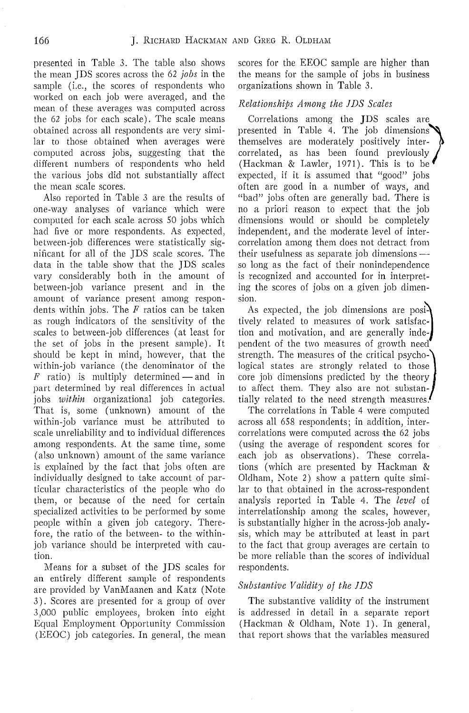presented in Table 3. The table also shows the mean JDS scores across the 62 *jobs* in the sample (i.e., the scores of respondents who worked on each job were averaged, and the mean of these averages was computed across the 62 jobs for each scale). The scale means obtained across all respondents are very similar to those obtained when averages were computed across jobs, suggesting that the different numbers of respondents who held the various jobs did not substantially affect the mean scale scores.

Also reported in Table 3 are the results of one-way analyses of variance which were computed for each scale across SO jobs which had five or more respondents. As expected, between-job differences were statistically significant for all of the JDS scale scores. The data in the table show that the JDS scales vary considerably both in the amount of between-job variance present and in the amount of variance present among respondents within jobs. The *F* ratios can be taken as rough indicators of the sensitivity of the scales to between-job differences (at least for the set of jobs in the present sample). It should be kept in mind, however, that the within-job variance (the denominator of the *F* ratio) is multiply determined — and in part determined by real differences in actual jobs *within* organizational job categories. That is, some (unknown) amount of the within-job variance must be attributed to scale unreliability and to individual differences among respondents. At the same time, some (also unknown) amount of the same variance is explained by the fact that jobs often are individually designed to take account of particular characteristics of the people who do them, or because of the need for certain specialized activities to be performed by some people within a given job category. Therefore, the ratio of the between- to the withinjob variance should be interpreted with caution.

Means for a subset of the JDS scales for an entirely different sample of respondents are provided by VanMaanen and Katz (Note 3). Scores are presented for a group of over 3,000 public employees, broken into eight Equal Employment Opportunity Commission (EEOC) job categories. In general, the mean scores for the EEOC sample are higher than the means for the sample of jobs in business organizations shown in Table 3.

# *Relationships Among the JDS Scales*

Correlations among the JDS scales are presented in Table 4. The job dimensions<sup>\*</sup> themselves are moderately positively intercorrelated, as has been found previously (Hackman & Lawler, 1971). This is to be expected, if it is assumed that "good" jobs often are good in a number of ways, and "bad" jobs often are generally bad. There is no a priori reason to expect that the job dimensions would or should be completely independent, and the moderate level of intercorrelation among them does not detract from their usefulness as separate job dimensions so long as the fact of their nonindependence is recognized and accounted for in interpreting the scores of jobs on a given job dimension.

n.<br>As expected, the job dimensions are posi<sup>1</sup> tively related to measures of work satisfaction and motivation, and are generally inde-J pendent of the two measures of growth need strength. The measures of the critical psycho-\ logical states are strongly related to those core job dimensions predicted by the theory to affect them. They also are not substan-/ tially related to the need strength measures.

The correlations in Table 4 were computed across all 658 respondents; in addition, intercorrelations were computed across the 62 jobs (using the average of respondent scores for each job as observations). These correlations (which are presented by Hackman & Oldham, Note 2) show a pattern quite similar to that obtained in the across-respondent analysis reported in Table 4. The *level* of interrelationship among the scales, however, is substantially higher in the across-job analysis, which may be attributed at least in part to the fact that group averages are certain to be more reliable than the scores of individual respondents.

# *Substantive Validity of the JDS*

The substantive validity of the instrument is addressed in detail in a separate report (Hackman & Oldham, Note 1). In general, that report shows that the variables measured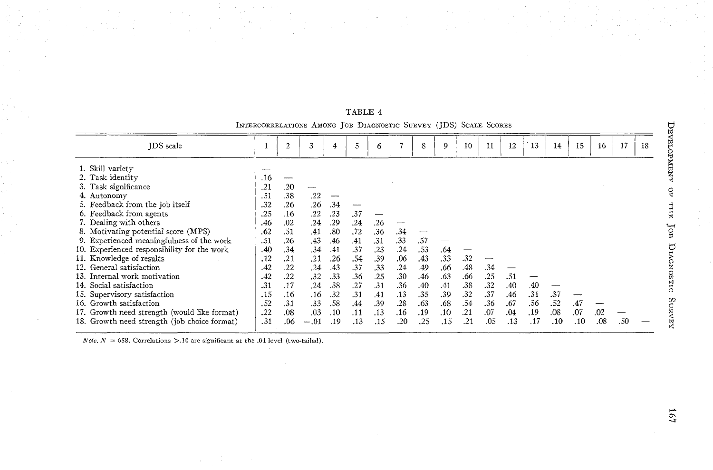| <b>IDS</b> scale                             |            |     | 3      | 4   | 5   | 6   |     | 8   | 9   | 10  | 11       | 12  | $\degree$ 13 | 14  | 15  | 16  | 17  | 18 |
|----------------------------------------------|------------|-----|--------|-----|-----|-----|-----|-----|-----|-----|----------|-----|--------------|-----|-----|-----|-----|----|
| 1. Skill variety                             |            |     |        |     |     |     |     |     |     |     |          |     |              |     |     |     |     |    |
| 2. Task identity                             | .16        |     |        |     |     |     |     |     |     |     |          |     |              |     |     |     |     |    |
| 3. Task significance                         | $\cdot$ 21 | .20 | --     |     |     |     |     |     |     |     |          |     |              |     |     |     |     |    |
| 4. Autonomy                                  | .51        | .38 | .22    |     |     |     |     |     |     |     |          |     |              |     |     |     |     |    |
| 5. Feedback from the job itself              | .32        | .26 | .26    | .34 |     |     |     |     |     |     |          |     |              |     |     |     |     |    |
| 6. Feedback from agents                      | .25        | .16 | .22    | .23 | .37 |     |     |     |     |     |          |     |              |     |     |     |     |    |
| 7. Dealing with others                       | .46        | .02 | .24    | .29 | .24 | .26 |     |     |     |     |          |     |              |     |     |     |     |    |
| 8. Motivating potential score (MPS)          | .62        | .51 | .41    | .80 | .72 | .36 | .34 |     |     |     |          |     |              |     |     |     |     |    |
| 9. Experienced meaningfulness of the work    | .51        | .26 | .43    | .46 | .41 | .31 | .33 | .57 |     |     |          |     |              |     |     |     |     |    |
| 10. Experienced responsibility for the work  | .40        | .34 | .34    | .41 | .37 | .23 | .24 | .53 | .64 |     |          |     |              |     |     |     |     |    |
| 11. Knowledge of results                     | .12        | .21 | .21    | .26 | .54 | .39 | .06 | .43 | .33 | .32 | $\cdots$ |     |              |     |     |     |     |    |
| 12. General satisfaction                     | .42        | .22 | .24    | .43 | .37 | .33 | .24 | .49 | .66 | .48 | .34      |     |              |     |     |     |     |    |
| 13. Internal work motivation                 | .42        | .22 | .32    | .33 | .36 | .25 | .30 | .46 | .63 | .66 | .25      | .51 |              |     |     |     |     |    |
| 14. Social satisfaction                      | .31        | .17 | .24    | .38 | .27 | .31 | .36 | .40 | .41 | .38 | .32      | .40 | .40          |     |     |     |     |    |
| 15. Supervisory satisfaction                 | .15        | .16 | .16    | .32 | .31 | .41 | .13 | .35 | .39 | .32 | .37      | .46 | .31          | .37 |     |     |     |    |
| 16. Growth satisfaction                      | - 52       | .31 | .33    | -58 | .44 | .39 | .28 | .63 | .68 | .54 | .36      | .67 | .56          | .52 | .47 |     |     |    |
| 17. Growth need strength (would like format) | .22        | .08 | .03    | .10 | .11 | .13 | .16 | .19 | .10 | .21 | .07      | .04 | .19          | .08 | .07 | .02 |     |    |
| 18. Growth need strength (job choice format) | .31        | .06 | $-.01$ | .19 | .13 | .15 | .20 | .25 | .15 | .21 | .05      | .13 | .17          | .10 | .10 | .08 | .50 |    |

TABLE 4 INTERCORRELATIONS AMONG JOB DIAGNOSTIC SURVEY (JDS) SCALE SCORES

*Note.*  $N = 658$ . Correlations > .10 are significant at the .01 level (two-tailed).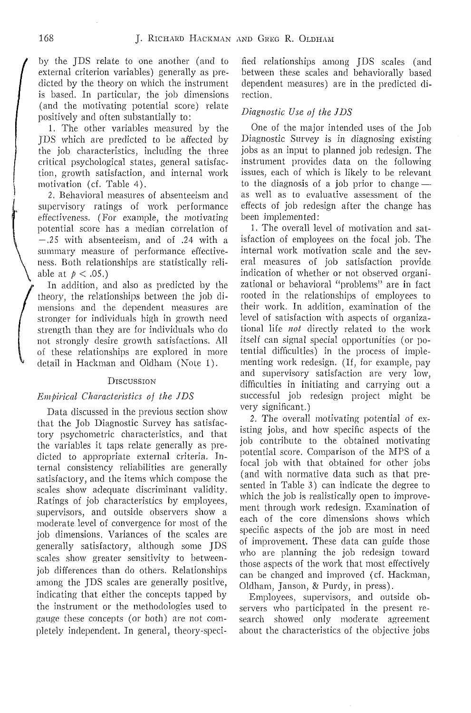by the JDS relate to one another (and to external criterion variables) generally as predicted by the theory on which the instrument is based. In particular, the job dimensions (and the motivating potential score) relate positively and often substantially to:

1. The other variables measured *by* the JDS which are predicted to be affected by the job characteristics, including the three critical psychological states, general satisfaction, growth satisfaction, and internal work motivation (cf. Table 4).

2. Behavioral measures of absenteeism and supervisory ratings of work performance effectiveness. (For example, the motivating potential score has a median correlation of — .25 with absenteeism, and of .24 with a summary measure of performance effectiveness. Both relationships are statistically reliable at  $p < .05$ .)

ln addition, and also as predicted by the theory, the relationships between the job dimensions and the dependent measures are stronger for individuals high in growth need strength than they are for individuals who do not strongly desire growth satisfactions. All of these relationships are explored in more detail in Hackman and Oldham (Note 1).

#### **DISCUSSION**

#### *Empirical Characteristics oj the JDS*

Data discussed in the previous section show that the Job Diagnostic Survey has satisfactory psychometric characteristics, and that the variables it taps relate generally as predicted to appropriate external criteria. Internal consistency reliabilities are generally satisfactory, and the items which compose the scales show adequate discriminant validity. Ratings of job characteristics by employees, supervisors, and outside observers show a moderate level of convergence for most of the job dimensions. Variances of the scales are generally satisfactory, although some JDS scales show greater sensitivity to betweenjob differences than do others. Relationships among the JDS scales are generally positive, indicating that either the concepts tapped *by* the instrument or the methodologies used to gauge these concepts (or both) are not completely independent. In general, theory-specified relationships among JDS scales (and between these scales and behaviorally based dependent measures) are in the predicted direction.

## *Diagnostic Use of the JDS*

One of the major intended uses of the Job Diagnostic Survey is in diagnosing existing jobs as an input to planned job redesign. The instrument provides data on the following issues, each of which is likely to be relevant to the diagnosis of a job prior to change as well as to evaluative assessment of the effects of job redesign after the change has been implemented:

1. The overall level of motivation and satisfaction of employees on the focal job. The internal work motivation scale and the several measures of job satisfaction provide indication of whether or not observed organizational or behavioral "problems" are in fact rooted in the relationships of employees to their work. In addition, examination of the level of satisfaction with aspects of organizational life *not* directly related to the work itself can signal special opportunities (or potential difficulties) in the process of implementing work redesign. (If, for example, pay and supervisory satisfaction are very low, difficulties in initiating and carrying out a successful job redesign project might be very significant.)

2. The overall motivating potential of existing jobs, and how specific aspects of the job contribute to the obtained motivating potential score. Comparison of the MPS of a focal job with that obtained for other jobs (and with normative data such as that presented in Table 3) can indicate the degree to which the job is realistically open to improvement through work redesign. Examination of each of the core dimensions shows which specific aspects of the job are most in need of improvement. These data can guide those who are planning the job redesign toward those aspects of the work that most effectively can be changed and improved (cf. Hackman, Oldham, Janson, & Purdy, in press).

Employees, supervisors, and outside observers who participated in the present research showed only moderate agreement about the characteristics of the objective jobs

I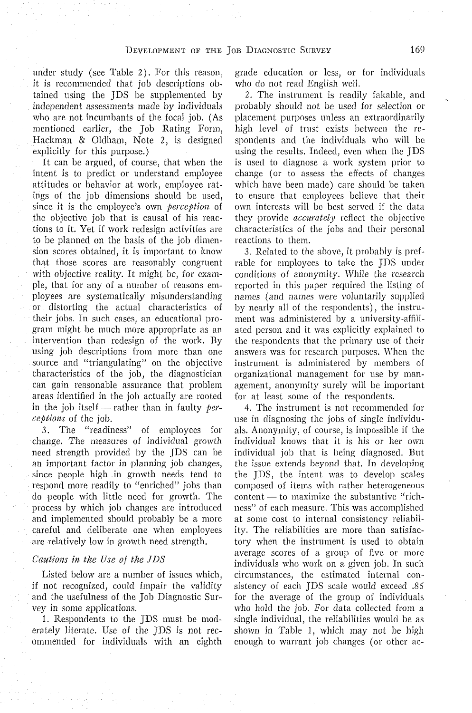under study (see Table 2), For this reason, it is recommended that job descriptions obtained using the JDS be supplemented by independent assessments made by individuals who are not incumbants of the focal job. (As mentioned earlier, the Job Rating Form, Hackman & Oldham, Note 2, is designed explicitly for this purpose.)

It can be argued, of course, that when the intent is to predict or understand employee attitudes or behavior at work, employee ratings of the job dimensions should be used, since it is the employee's own *perception* of the objective job that is causal of his reactions to it. Yet if work redesign activities are to be planned on the basis of the job dimension scores obtained, it is important to know that those scores are reasonably congruent with objective reality. It might be, for example, that for any of a number of reasons employees are systematically misunderstanding or distorting the actual characteristics of their jobs. In such cases, an educational program might be much more appropriate as an intervention than redesign of the work. By using job descriptions from more than one source and "triangulating" on the objective characteristics of the job, the diagnostician can gain reasonable assurance that problem areas identified in the job actually are rooted in the job itself — rather than in faulty *perceptions* of the job.

3. The "readiness" of employees for change. The measures of individual growth need strength provided by the JDS can be an important factor in planning job changes, since people high in growth needs tend to respond more readily to "enriched" jobs than do people with little need for growth. The process by which job changes are introduced and implemented should probably be a more careful and deliberate one when employees are relatively low in growth need strength.

#### *Cautions in the Use of the JDS*

Listed below are a number of issues which, if not recognized, could impair the validity and the usefulness of die Job Diagnostic Survey in some applications.

1. Respondents to the JDS must be moderately literate. Use of the JDS is not recommended for individuals with an eighth grade education or less, or for individuals who do not read English well.

2. The instrument is readily fakable, and probably should not be used for selection or placement purposes unless an extraordinarily high level of trust exists between the respondents and the individuals who will be using the results. Indeed, even when the JDS is used to diagnose a work system prior to change (or to assess the effects of changes which have been made) care should be taken to ensure that employees believe that their own interests will be best served if the data they provide *accurately* reflect the objective characteristics of the jobs and their personal reactions to them.

3. Related to the above, it probably is prefrable for employees to take the JDS under conditions of anonymity. While the research reported in this paper required the listing of names (and names were voluntarily supplied by nearly all of the respondents), the instrument was administered by a university-affiliated person and it was explicitly explained to the respondents that the primary use of their answers was for research purposes. When the instrument is administered by members of organizational management for use by management, anonymity surely will be important for at least some of the respondents.

4. The instrument is not recommended for use in diagnosing the jobs of single individuals. Anonymity, of course, is impossible if the individual knows that it is his or her own individual job that is being diagnosed. But the issue extends beyond that. In developing the JDS, the intent was to develop scales composed of items with rather heterogeneous content — to maximize the substantive "richness" of each measure. This was accomplished at some cost to internal consistency reliability. The reliabilities are more than satisfactory when the instrument is used to obtain average scores of a group of five or more individuals who work on a given job. In such circumstances, the estimated internal consistency of each JDS scale would exceed .85 for the average of the group of individuals who hold the job. For data collected from a single individual, the reliabilities would be as shown in Table 1, which may not be high enough to warrant job changes (or other ac